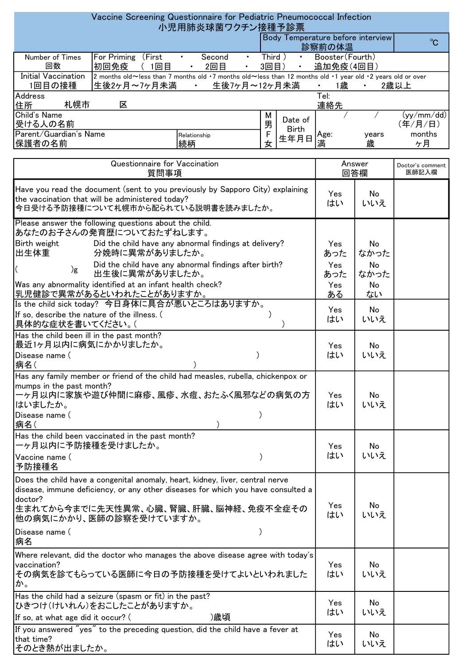## $^{\circ}$ Address 住所 Tel: 連絡先 M 男 Relationship 続柄 F 女 Doctor's comment 医師記入欄 Yes あった No なかった ( )g Yes Did the child have any abnormal findings after birth? あった No なかった Yes ある No ない Is the child sick today? 今日身体に具合が悪いところはありますか。 Yes はい No いいえ 札幌市 区 Child's Name 受ける人の名前  $(vv/mm / dd)$  (年/月/日) Vaccine Screening Questionnaire for Pediatric Pneumococcal Infection 小児用肺炎球菌ワクチン接種予診票 Body Temperature before interview 診察前の体温 Number of Times 回数 For Priming (First ・ Second ・ Third ) ・ Booster(Fourth) 初回免疫 (1回目 ・ 2回目 ・ 3回目) ・ 追加免疫(4回目) Initial Vaccination 1回目の接種 2 months old~less than 7 months old ・7 months old~less than 12 months old ・1 year old ・2 years old or over 生後2ヶ月~7ヶ月未満 ・ 生後7ヶ月~12ヶ月未満 ・ 1歳 ・ 2歳以上 Parent/Guardian's Name 保護者の名前 Age: years months きんじゅう 歳 しゃ ケ月 しゅうかん かんかん しゅうかん しゅうかん しゅうかく しゅうかく しゅうかく しゅうかく はんしゃ Questionnaire for Vaccination 質問事項 Answer 回答欄 Birth weight 出生体重 Did the child have any abnormal findings at delivery? 分娩時に異常がありましたか。 No いいえ Have you read the document (sent to you previously by Sapporo City) explaining the vaccination that will be administered today? 今日受ける予防接種について札幌市から配られている説明書を読みましたか。 Please answer the following questions about the child. あなたのお子さんの発育歴についておたずねします。 出生後に異常がありましたか。 Was any abnormality identified at an infant health check? 乳児健診で異常があるといわれたことがありますか。 If so, describe the nature of the illness. (  $\qquad \qquad$ ) 具体的な症状を書いてください。( ) Disease name ( ) 病名( Has the child been ill in the past month? 最近1ヶ月以内に病気にかかりましたか。 Disease name ( ) 病名 ( Has any family member or friend of the child had measles, rubella, chickenpox or mumps in the past month? 一ヶ月以内に家族や遊び仲間に麻疹、風疹、水痘、おたふく風邪などの病気の方 はいましたか。 Has the child been vaccinated in the past month? 一ヶ月以内に予防接種を受けましたか。 Vaccine name ( ) 予防接種名 Disease name ( ) 病名 If you answered "yes" to the preceding question, did the child have a fever at that time? そのとき熱が出ましたか。 Has the child had a seizure (spasm or fit) in the past? ひきつけ(けいれん)をおこしたことがありますか。 If so, at what age did it occur? (
)歳頃 Does the child have a congenital anomaly, heart, kidney, liver, central nerve disease, immune deficiency, or any other diseases for which you have consulted a doctor? 生まれてから今までに先天性異常、心臓、腎臓、肝臓、脳神経、免疫不全症その 他の病気にかかり、医師の診察を受けていますか。 Where relevant, did the doctor who manages the above disease agree with today's vaccination? その病気を診てもらっている医師に今日の予防接種を受けてよいといわれました か。 Date of Birth 生年月日 Yes はい Yes はい Yes はい Yes はい Yes はい Yes はい Yes はい No いいえ No いいえ No いいえ No いいえ No いいえ No いいえ No いいえ Yes はい